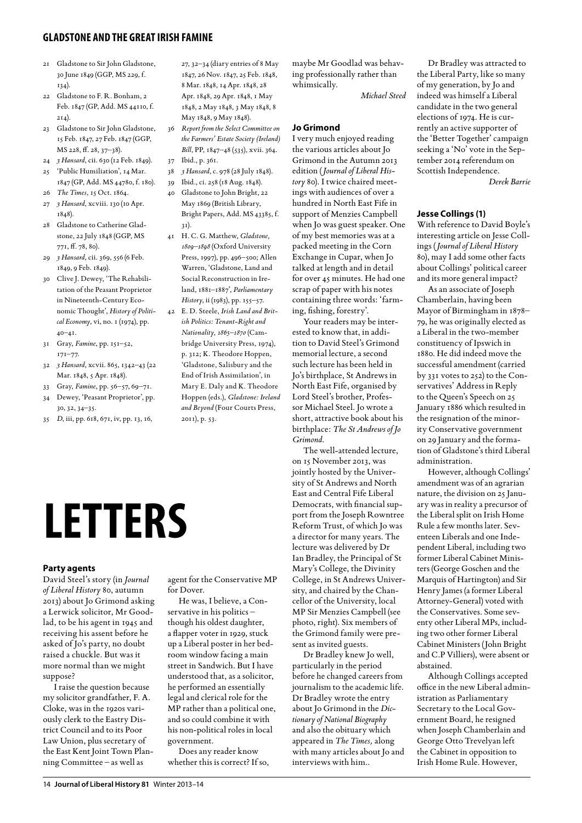# **gladstone and the greatirish famine**

- 21 Gladstone to Sir John Gladstone, 30 June 1849 (GGP, MS 229, f. 134).
- 22 Gladstone to F. R. Bonham, 2 Feb. 1847 (GP, Add. MS 44110, f.  $2I_4$ ).
- 23 Gladstone to Sir John Gladstone, 15 Feb. 1847, 27 Feb. 1847 (GGP, MS 228, ff. 28, 37–38).
- 24 *3 Hansard*, cii. 630 (12 Feb. 1849).
- 25 'Public Humiliation', 14 Mar. 1847 (GP, Add. MS 44780, f. 180).
- 26 *The Times*, 15 Oct. 1864.
- 27 *3 Hansard*, xcviii. 130 (10 Apr. 1848).
- 28 Gladstone to Catherine Gladstone, 22 July 1848 (GGP, MS 771, ff. 78, 80).
- 29 *3 Hansard*, cii. 369, 556 (6 Feb. 1849, 9 Feb. 1849).
- 30 Clive J. Dewey, 'The Rehabilitation of the Peasant Proprietor in Nineteenth-Century Economic Thought', *History of Political Economy*, vi, no. 1 (1974), pp.  $40 - 41$ .
- 31 Gray, *Famine*, pp. 151–52, 171–77.
- 32 *3 Hansard*, xcvii. 865, 1342–43 (22 Mar. 1848, 5 Apr. 1848).
- 33 Gray, *Famine*, pp. 56–57, 69–71. 34 Dewey, 'Peasant Proprietor', pp. 30, 32, 34–35.
- 35 *D*, iii, pp. 618, 671, iv, pp. 13, 16,

27, 32–34 (diary entries of 8 May 1847, 26 Nov. 1847, 25 Feb. 1848, 8 Mar. 1848, 14 Apr. 1848, 28 Apr. 1848, 29 Apr. 1848, 1 May 1848, 2 May 1848, 3 May 1848, 8 May 1848, 9 May 1848).

- 36 *Report from the Select Committee on the Farmers' Estate Society (Ireland) Bill*, PP, 1847–48 (535), xvii. 364. 37 Ibid., p. 361.
- 38 *3 Hansard*, c. 978 (28 July 1848).
- 39 Ibid., ci. 258 (18 Aug. 1848). 40 Gladstone to John Bright, 22
- May 1869 (British Library, Bright Papers, Add. MS 43385, f. 31).
- 41 H. C. G. Matthew, *Gladstone, 1809–1898* (Oxford University Press, 1997), pp. 496–500; Allen Warren, 'Gladstone, Land and Social Reconstruction in Ireland, 1881–1887', *Parliamentary History*, ii (1983), pp. 155–57.
- 42 E. D. Steele, *Irish Land and British Politics: Tenant-Right and Nationality, 1865–1870* (Cambridge University Press, 1974), p. 312; K. Theodore Hoppen, 'Gladstone, Salisbury and the End of Irish Assimilation', in Mary E. Daly and K. Theodore Hoppen (eds.), *Gladstone: Ireland and Beyond* (Four Courts Press, 2011), p. 53.

**Letters**

#### **Party agents**

David Steel's story (in *Journal of Liberal History* 80, autumn 2013) about Jo Grimond asking a Lerwick solicitor, Mr Goodlad, to be his agent in 1945 and receiving his assent before he asked of Jo's party, no doubt raised a chuckle. But was it more normal than we might suppose?

I raise the question because my solicitor grandfather, F. A. Cloke, was in the 1920s variously clerk to the Eastry District Council and to its Poor Law Union, plus secretary of the East Kent Joint Town Planning Committee – as well as

agent for the Conservative MP for Dover.

He was, I believe, a Conservative in his politics – though his oldest daughter, a flapper voter in 1929, stuck up a Liberal poster in her bedroom window facing a main street in Sandwich. But I have understood that, as a solicitor, he performed an essentially legal and clerical role for the MP rather than a political one, and so could combine it with his non-political roles in local government.

Does any reader know whether this is correct? If so, maybe Mr Goodlad was behaving professionally rather than whimsically.

*Michael Steed* 

# **Jo Grimond**

I very much enjoyed reading the various articles about Jo Grimond in the Autumn 2013 edition (*Journal of Liberal History* 80). I twice chaired meetings with audiences of over a hundred in North East Fife in support of Menzies Campbell when Jo was guest speaker. One of my best memories was at a packed meeting in the Corn Exchange in Cupar, when Jo talked at length and in detail for over 45 minutes. He had one scrap of paper with his notes containing three words: 'farming, fishing, forestry'.

Your readers may be interested to know that, in addition to David Steel's Grimond memorial lecture, a second such lecture has been held in Jo's birthplace, St Andrews in North East Fife, organised by Lord Steel's brother, Professor Michael Steel. Jo wrote a short, attractive book about his birthplace: *The St Andrews of Jo Grimond*.

The well-attended lecture, on 15 November 2013, was jointly hosted by the University of St Andrews and North East and Central Fife Liberal Democrats, with financial support from the Joseph Rowntree Reform Trust, of which Jo was a director for many years. The lecture was delivered by Dr Ian Bradley, the Principal of St Mary's College, the Divinity College, in St Andrews University, and chaired by the Chancellor of the University, local MP Sir Menzies Campbell (see photo, right). Six members of the Grimond family were present as invited guests.

Dr Bradley knew Jo well, particularly in the period before he changed careers from journalism to the academic life. Dr Bradley wrote the entry about Jo Grimond in the *Dictionary of National Biography* and also the obituary which appeared in *The Times,* along with many articles about Jo and interviews with him..

Dr Bradley was attracted to the Liberal Party, like so many of my generation, by Jo and indeed was himself a Liberal candidate in the two general elections of 1974. He is currently an active supporter of the 'Better Together' campaign seeking a 'No' vote in the September 2014 referendum on Scottish Independence.

*Derek Barrie* 

# **Jesse Collings (1)**

With reference to David Boyle's interesting article on Jesse Collings (*Journal of Liberal History* 80), may I add some other facts about Collings' political career and its more general impact?

As an associate of Joseph Chamberlain, having been Mayor of Birmingham in 1878– 79, he was originally elected as a Liberal in the two-member constituency of Ipswich in 1880. He did indeed move the successful amendment (carried by 331 votes to 252) to the Conservatives' Address in Reply to the Queen's Speech on 25 January 1886 which resulted in the resignation of the minority Conservative government on 29 January and the formation of Gladstone's third Liberal administration.

However, although Collings' amendment was of an agrarian nature, the division on 25 January was in reality a precursor of the Liberal split on Irish Home Rule a few months later. Seventeen Liberals and one Independent Liberal, including two former Liberal Cabinet Ministers (George Goschen and the Marquis of Hartington) and Sir Henry James (a former Liberal Attorney-General) voted with the Conservatives. Some seventy other Liberal MPs, including two other former Liberal Cabinet Ministers (John Bright and C.P Villiers), were absent or abstained.

Although Collings accepted office in the new Liberal administration as Parliamentary Secretary to the Local Government Board, he resigned when Joseph Chamberlain and George Otto Trevelyan left the Cabinet in opposition to Irish Home Rule. However,